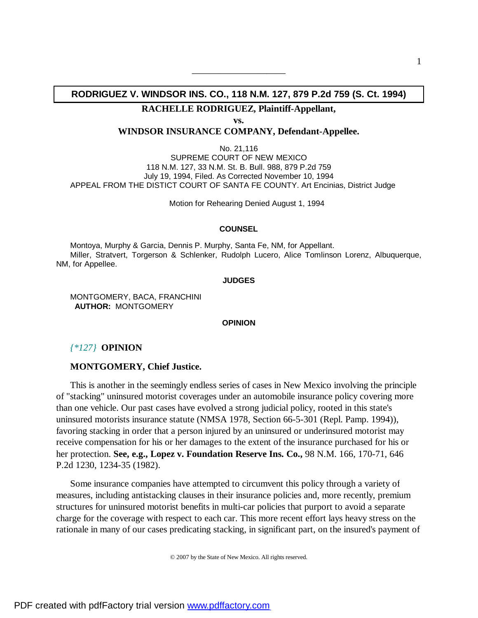# **RODRIGUEZ V. WINDSOR INS. CO., 118 N.M. 127, 879 P.2d 759 (S. Ct. 1994)**

——————————

**RACHELLE RODRIGUEZ, Plaintiff-Appellant,** 

**vs.**

**WINDSOR INSURANCE COMPANY, Defendant-Appellee.**

No. 21,116 SUPREME COURT OF NEW MEXICO 118 N.M. 127, 33 N.M. St. B. Bull. 988, 879 P.2d 759 July 19, 1994, Filed. As Corrected November 10, 1994 APPEAL FROM THE DISTICT COURT OF SANTA FE COUNTY. Art Encinias, District Judge

Motion for Rehearing Denied August 1, 1994

#### **COUNSEL**

Montoya, Murphy & Garcia, Dennis P. Murphy, Santa Fe, NM, for Appellant. Miller, Stratvert, Torgerson & Schlenker, Rudolph Lucero, Alice Tomlinson Lorenz, Albuquerque, NM, for Appellee.

**JUDGES**

MONTGOMERY, BACA, FRANCHINI  **AUTHOR:** MONTGOMERY

# **OPINION**

### *{\*127}* **OPINION**

#### **MONTGOMERY, Chief Justice.**

This is another in the seemingly endless series of cases in New Mexico involving the principle of "stacking" uninsured motorist coverages under an automobile insurance policy covering more than one vehicle. Our past cases have evolved a strong judicial policy, rooted in this state's uninsured motorists insurance statute (NMSA 1978, Section 66-5-301 (Repl. Pamp. 1994)), favoring stacking in order that a person injured by an uninsured or underinsured motorist may receive compensation for his or her damages to the extent of the insurance purchased for his or her protection. **See, e.g., Lopez v. Foundation Reserve Ins. Co.,** 98 N.M. 166, 170-71, 646 P.2d 1230, 1234-35 (1982).

Some insurance companies have attempted to circumvent this policy through a variety of measures, including antistacking clauses in their insurance policies and, more recently, premium structures for uninsured motorist benefits in multi-car policies that purport to avoid a separate charge for the coverage with respect to each car. This more recent effort lays heavy stress on the rationale in many of our cases predicating stacking, in significant part, on the insured's payment of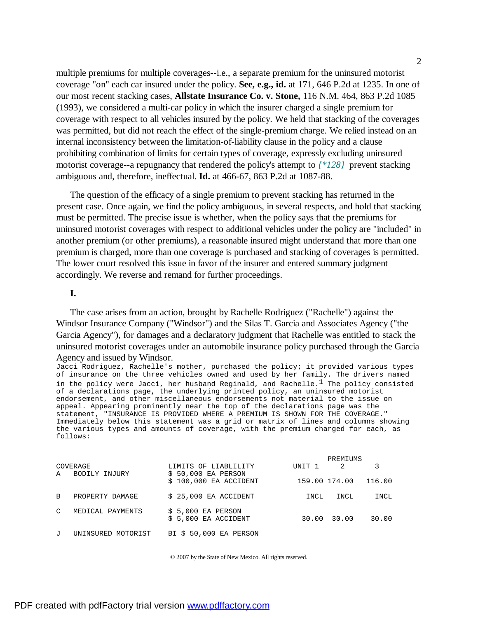multiple premiums for multiple coverages--i.e., a separate premium for the uninsured motorist coverage "on" each car insured under the policy. **See, e.g., id.** at 171, 646 P.2d at 1235. In one of our most recent stacking cases, **Allstate Insurance Co. v. Stone,** 116 N.M. 464, 863 P.2d 1085 (1993), we considered a multi-car policy in which the insurer charged a single premium for coverage with respect to all vehicles insured by the policy. We held that stacking of the coverages was permitted, but did not reach the effect of the single-premium charge. We relied instead on an internal inconsistency between the limitation-of-liability clause in the policy and a clause prohibiting combination of limits for certain types of coverage, expressly excluding uninsured motorist coverage--a repugnancy that rendered the policy's attempt to *{\*128}* prevent stacking ambiguous and, therefore, ineffectual. **Id.** at 466-67, 863 P.2d at 1087-88.

The question of the efficacy of a single premium to prevent stacking has returned in the present case. Once again, we find the policy ambiguous, in several respects, and hold that stacking must be permitted. The precise issue is whether, when the policy says that the premiums for uninsured motorist coverages with respect to additional vehicles under the policy are "included" in another premium (or other premiums), a reasonable insured might understand that more than one premium is charged, more than one coverage is purchased and stacking of coverages is permitted. The lower court resolved this issue in favor of the insurer and entered summary judgment accordingly. We reverse and remand for further proceedings.

### **I.**

The case arises from an action, brought by Rachelle Rodriguez ("Rachelle") against the Windsor Insurance Company ("Windsor") and the Silas T. Garcia and Associates Agency ("the Garcia Agency"), for damages and a declaratory judgment that Rachelle was entitled to stack the uninsured motorist coverages under an automobile insurance policy purchased through the Garcia Agency and issued by Windsor.

Jacci Rodriguez, Rachelle's mother, purchased the policy; it provided various types of insurance on the three vehicles owned and used by her family. The drivers named in the policy were Jacci, her husband Reginald, and Rachelle.<sup>1</sup> The policy consisted of a declarations page, the underlying printed policy, an uninsured motorist endorsement, and other miscellaneous endorsements not material to the issue on appeal. Appearing prominently near the top of the declarations page was the statement, "INSURANCE IS PROVIDED WHERE A PREMIUM IS SHOWN FOR THE COVERAGE." Immediately below this statement was a grid or matrix of lines and columns showing the various types and amounts of coverage, with the premium charged for each, as follows:

|               |                    |                                               |        | PREMIUMS      |        |
|---------------|--------------------|-----------------------------------------------|--------|---------------|--------|
|               | COVERAGE           | LIMITS OF LIABLILITY                          | UNIT 1 | 2             |        |
| A             | BODILY INJURY      | $$50,000$ EA PERSON<br>$$100,000$ EA ACCIDENT |        | 159.00 174.00 | 116.00 |
| B.            | PROPERTY DAMAGE    | $$25,000$ EA ACCIDENT                         | INCL   | INCL          | INCL   |
| $\mathcal{C}$ | MEDICAL PAYMENTS   | $$5,000$ EA PERSON<br>$$5,000$ EA ACCIDENT    | 30.00  | 30.00         | 30.00  |
| $\mathbf{J}$  | UNINSURED MOTORIST | BI \$ 50,000 EA PERSON                        |        |               |        |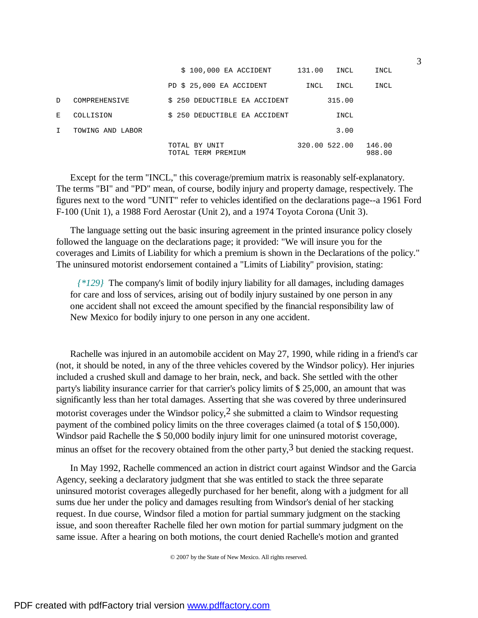|    |                  | \$ 100,000 EA ACCIDENT              | 131.00<br>INCL | INCL             |
|----|------------------|-------------------------------------|----------------|------------------|
|    |                  | PD \$ 25,000 EA ACCIDENT            | INCL<br>INCL   | INCL             |
| D. | COMPREHENSIVE    | \$ 250 DEDUCTIBLE EA ACCIDENT       | 315.00         |                  |
| Е. | COLLISION        | \$ 250 DEDUCTIBLE EA ACCIDENT       | INCL           |                  |
| T  | TOWING AND LABOR |                                     | 3.00           |                  |
|    |                  | TOTAL BY UNIT<br>TOTAL TERM PREMIUM | 320.00 522.00  | 146.00<br>988.00 |

Except for the term "INCL," this coverage/premium matrix is reasonably self-explanatory. The terms "BI" and "PD" mean, of course, bodily injury and property damage, respectively. The figures next to the word "UNIT" refer to vehicles identified on the declarations page--a 1961 Ford F-100 (Unit 1), a 1988 Ford Aerostar (Unit 2), and a 1974 Toyota Corona (Unit 3).

The language setting out the basic insuring agreement in the printed insurance policy closely followed the language on the declarations page; it provided: "We will insure you for the coverages and Limits of Liability for which a premium is shown in the Declarations of the policy." The uninsured motorist endorsement contained a "Limits of Liability" provision, stating:

 *{\*129}* The company's limit of bodily injury liability for all damages, including damages for care and loss of services, arising out of bodily injury sustained by one person in any one accident shall not exceed the amount specified by the financial responsibility law of New Mexico for bodily injury to one person in any one accident.

Rachelle was injured in an automobile accident on May 27, 1990, while riding in a friend's car (not, it should be noted, in any of the three vehicles covered by the Windsor policy). Her injuries included a crushed skull and damage to her brain, neck, and back. She settled with the other party's liability insurance carrier for that carrier's policy limits of \$ 25,000, an amount that was significantly less than her total damages. Asserting that she was covered by three underinsured motorist coverages under the Windsor policy,2 she submitted a claim to Windsor requesting payment of the combined policy limits on the three coverages claimed (a total of \$ 150,000). Windsor paid Rachelle the \$ 50,000 bodily injury limit for one uninsured motorist coverage, minus an offset for the recovery obtained from the other party,  $3$  but denied the stacking request.

In May 1992, Rachelle commenced an action in district court against Windsor and the Garcia Agency, seeking a declaratory judgment that she was entitled to stack the three separate uninsured motorist coverages allegedly purchased for her benefit, along with a judgment for all sums due her under the policy and damages resulting from Windsor's denial of her stacking request. In due course, Windsor filed a motion for partial summary judgment on the stacking issue, and soon thereafter Rachelle filed her own motion for partial summary judgment on the same issue. After a hearing on both motions, the court denied Rachelle's motion and granted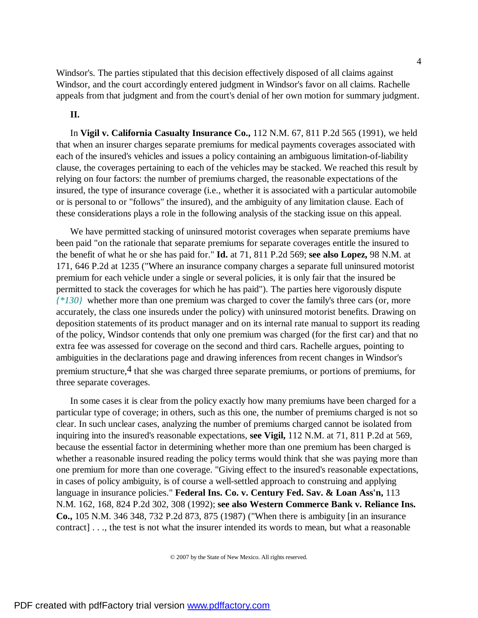Windsor's. The parties stipulated that this decision effectively disposed of all claims against Windsor, and the court accordingly entered judgment in Windsor's favor on all claims. Rachelle appeals from that judgment and from the court's denial of her own motion for summary judgment.

## **II.**

In **Vigil v. California Casualty Insurance Co.,** 112 N.M. 67, 811 P.2d 565 (1991), we held that when an insurer charges separate premiums for medical payments coverages associated with each of the insured's vehicles and issues a policy containing an ambiguous limitation-of-liability clause, the coverages pertaining to each of the vehicles may be stacked. We reached this result by relying on four factors: the number of premiums charged, the reasonable expectations of the insured, the type of insurance coverage (i.e., whether it is associated with a particular automobile or is personal to or "follows" the insured), and the ambiguity of any limitation clause. Each of these considerations plays a role in the following analysis of the stacking issue on this appeal.

We have permitted stacking of uninsured motorist coverages when separate premiums have been paid "on the rationale that separate premiums for separate coverages entitle the insured to the benefit of what he or she has paid for." **Id.** at 71, 811 P.2d 569; **see also Lopez,** 98 N.M. at 171, 646 P.2d at 1235 ("Where an insurance company charges a separate full uninsured motorist premium for each vehicle under a single or several policies, it is only fair that the insured be permitted to stack the coverages for which he has paid"). The parties here vigorously dispute *{\*130}* whether more than one premium was charged to cover the family's three cars (or, more accurately, the class one insureds under the policy) with uninsured motorist benefits. Drawing on deposition statements of its product manager and on its internal rate manual to support its reading of the policy, Windsor contends that only one premium was charged (for the first car) and that no extra fee was assessed for coverage on the second and third cars. Rachelle argues, pointing to ambiguities in the declarations page and drawing inferences from recent changes in Windsor's premium structure,  $4$  that she was charged three separate premiums, or portions of premiums, for three separate coverages.

In some cases it is clear from the policy exactly how many premiums have been charged for a particular type of coverage; in others, such as this one, the number of premiums charged is not so clear. In such unclear cases, analyzing the number of premiums charged cannot be isolated from inquiring into the insured's reasonable expectations, **see Vigil,** 112 N.M. at 71, 811 P.2d at 569, because the essential factor in determining whether more than one premium has been charged is whether a reasonable insured reading the policy terms would think that she was paying more than one premium for more than one coverage. "Giving effect to the insured's reasonable expectations, in cases of policy ambiguity, is of course a well-settled approach to construing and applying language in insurance policies." **Federal Ins. Co. v. Century Fed. Sav. & Loan Ass'n,** 113 N.M. 162, 168, 824 P.2d 302, 308 (1992); **see also Western Commerce Bank v. Reliance Ins. Co.,** 105 N.M. 346 348, 732 P.2d 873, 875 (1987) ("When there is ambiguity [in an insurance contract] . . ., the test is not what the insurer intended its words to mean, but what a reasonable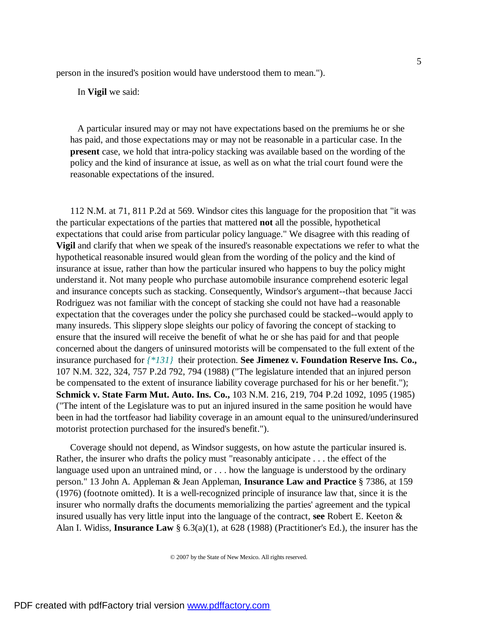person in the insured's position would have understood them to mean.").

In **Vigil** we said:

 A particular insured may or may not have expectations based on the premiums he or she has paid, and those expectations may or may not be reasonable in a particular case. In the **present** case, we hold that intra-policy stacking was available based on the wording of the policy and the kind of insurance at issue, as well as on what the trial court found were the reasonable expectations of the insured.

112 N.M. at 71, 811 P.2d at 569. Windsor cites this language for the proposition that "it was the particular expectations of the parties that mattered **not** all the possible, hypothetical expectations that could arise from particular policy language." We disagree with this reading of **Vigil** and clarify that when we speak of the insured's reasonable expectations we refer to what the hypothetical reasonable insured would glean from the wording of the policy and the kind of insurance at issue, rather than how the particular insured who happens to buy the policy might understand it. Not many people who purchase automobile insurance comprehend esoteric legal and insurance concepts such as stacking. Consequently, Windsor's argument--that because Jacci Rodriguez was not familiar with the concept of stacking she could not have had a reasonable expectation that the coverages under the policy she purchased could be stacked--would apply to many insureds. This slippery slope sleights our policy of favoring the concept of stacking to ensure that the insured will receive the benefit of what he or she has paid for and that people concerned about the dangers of uninsured motorists will be compensated to the full extent of the insurance purchased for *{\*131}* their protection. **See Jimenez v. Foundation Reserve Ins. Co.,** 107 N.M. 322, 324, 757 P.2d 792, 794 (1988) ("The legislature intended that an injured person be compensated to the extent of insurance liability coverage purchased for his or her benefit."); **Schmick v. State Farm Mut. Auto. Ins. Co.,** 103 N.M. 216, 219, 704 P.2d 1092, 1095 (1985) ("The intent of the Legislature was to put an injured insured in the same position he would have been in had the tortfeasor had liability coverage in an amount equal to the uninsured/underinsured motorist protection purchased for the insured's benefit.").

Coverage should not depend, as Windsor suggests, on how astute the particular insured is. Rather, the insurer who drafts the policy must "reasonably anticipate . . . the effect of the language used upon an untrained mind, or . . . how the language is understood by the ordinary person." 13 John A. Appleman & Jean Appleman, **Insurance Law and Practice** § 7386, at 159 (1976) (footnote omitted). It is a well-recognized principle of insurance law that, since it is the insurer who normally drafts the documents memorializing the parties' agreement and the typical insured usually has very little input into the language of the contract, **see** Robert E. Keeton & Alan I. Widiss, **Insurance Law** § 6.3(a)(1), at 628 (1988) (Practitioner's Ed.), the insurer has the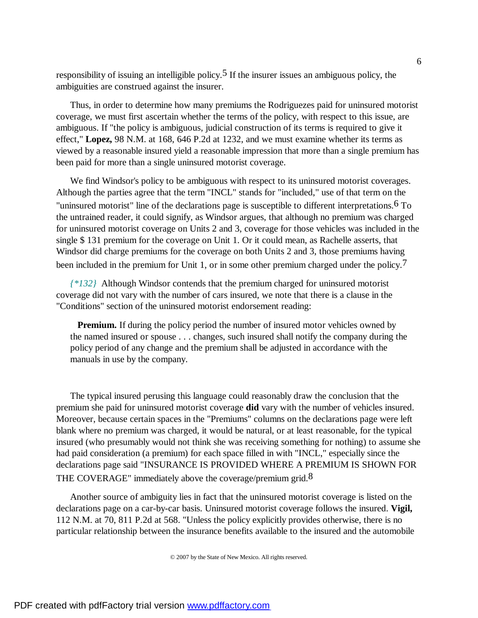responsibility of issuing an intelligible policy.<sup>5</sup> If the insurer issues an ambiguous policy, the ambiguities are construed against the insurer.

Thus, in order to determine how many premiums the Rodriguezes paid for uninsured motorist coverage, we must first ascertain whether the terms of the policy, with respect to this issue, are ambiguous. If "the policy is ambiguous, judicial construction of its terms is required to give it effect," **Lopez,** 98 N.M. at 168, 646 P.2d at 1232, and we must examine whether its terms as viewed by a reasonable insured yield a reasonable impression that more than a single premium has been paid for more than a single uninsured motorist coverage.

We find Windsor's policy to be ambiguous with respect to its uninsured motorist coverages. Although the parties agree that the term "INCL" stands for "included," use of that term on the "uninsured motorist" line of the declarations page is susceptible to different interpretations.6 To the untrained reader, it could signify, as Windsor argues, that although no premium was charged for uninsured motorist coverage on Units 2 and 3, coverage for those vehicles was included in the single \$ 131 premium for the coverage on Unit 1. Or it could mean, as Rachelle asserts, that Windsor did charge premiums for the coverage on both Units 2 and 3, those premiums having been included in the premium for Unit 1, or in some other premium charged under the policy.<sup>7</sup>

*{\*132}* Although Windsor contends that the premium charged for uninsured motorist coverage did not vary with the number of cars insured, we note that there is a clause in the "Conditions" section of the uninsured motorist endorsement reading:

**Premium.** If during the policy period the number of insured motor vehicles owned by the named insured or spouse . . . changes, such insured shall notify the company during the policy period of any change and the premium shall be adjusted in accordance with the manuals in use by the company.

The typical insured perusing this language could reasonably draw the conclusion that the premium she paid for uninsured motorist coverage **did** vary with the number of vehicles insured. Moreover, because certain spaces in the "Premiums" columns on the declarations page were left blank where no premium was charged, it would be natural, or at least reasonable, for the typical insured (who presumably would not think she was receiving something for nothing) to assume she had paid consideration (a premium) for each space filled in with "INCL," especially since the declarations page said "INSURANCE IS PROVIDED WHERE A PREMIUM IS SHOWN FOR THE COVERAGE" immediately above the coverage/premium grid.<sup>8</sup>

Another source of ambiguity lies in fact that the uninsured motorist coverage is listed on the declarations page on a car-by-car basis. Uninsured motorist coverage follows the insured. **Vigil,** 112 N.M. at 70, 811 P.2d at 568. "Unless the policy explicitly provides otherwise, there is no particular relationship between the insurance benefits available to the insured and the automobile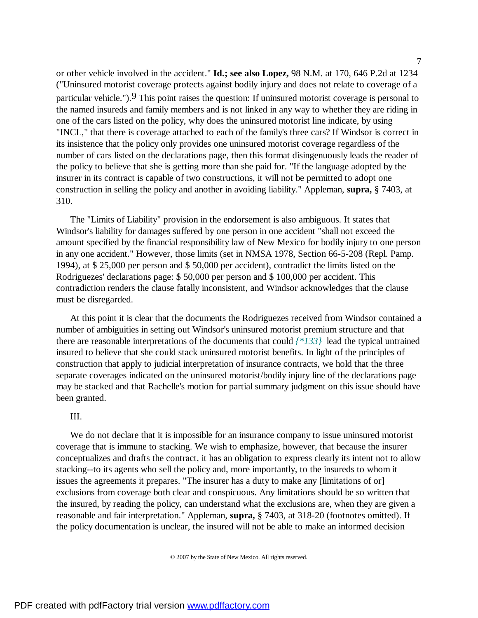or other vehicle involved in the accident." **Id.; see also Lopez,** 98 N.M. at 170, 646 P.2d at 1234 ("Uninsured motorist coverage protects against bodily injury and does not relate to coverage of a particular vehicle.").9 This point raises the question: If uninsured motorist coverage is personal to the named insureds and family members and is not linked in any way to whether they are riding in one of the cars listed on the policy, why does the uninsured motorist line indicate, by using "INCL," that there is coverage attached to each of the family's three cars? If Windsor is correct in its insistence that the policy only provides one uninsured motorist coverage regardless of the number of cars listed on the declarations page, then this format disingenuously leads the reader of the policy to believe that she is getting more than she paid for. "If the language adopted by the insurer in its contract is capable of two constructions, it will not be permitted to adopt one construction in selling the policy and another in avoiding liability." Appleman, **supra,** § 7403, at 310.

The "Limits of Liability" provision in the endorsement is also ambiguous. It states that Windsor's liability for damages suffered by one person in one accident "shall not exceed the amount specified by the financial responsibility law of New Mexico for bodily injury to one person in any one accident." However, those limits (set in NMSA 1978, Section 66-5-208 (Repl. Pamp. 1994), at \$ 25,000 per person and \$ 50,000 per accident), contradict the limits listed on the Rodriguezes' declarations page: \$ 50,000 per person and \$ 100,000 per accident. This contradiction renders the clause fatally inconsistent, and Windsor acknowledges that the clause must be disregarded.

At this point it is clear that the documents the Rodriguezes received from Windsor contained a number of ambiguities in setting out Windsor's uninsured motorist premium structure and that there are reasonable interpretations of the documents that could *{\*133}* lead the typical untrained insured to believe that she could stack uninsured motorist benefits. In light of the principles of construction that apply to judicial interpretation of insurance contracts, we hold that the three separate coverages indicated on the uninsured motorist/bodily injury line of the declarations page may be stacked and that Rachelle's motion for partial summary judgment on this issue should have been granted.

### III.

We do not declare that it is impossible for an insurance company to issue uninsured motorist coverage that is immune to stacking. We wish to emphasize, however, that because the insurer conceptualizes and drafts the contract, it has an obligation to express clearly its intent not to allow stacking--to its agents who sell the policy and, more importantly, to the insureds to whom it issues the agreements it prepares. "The insurer has a duty to make any [limitations of or] exclusions from coverage both clear and conspicuous. Any limitations should be so written that the insured, by reading the policy, can understand what the exclusions are, when they are given a reasonable and fair interpretation." Appleman, **supra,** § 7403, at 318-20 (footnotes omitted). If the policy documentation is unclear, the insured will not be able to make an informed decision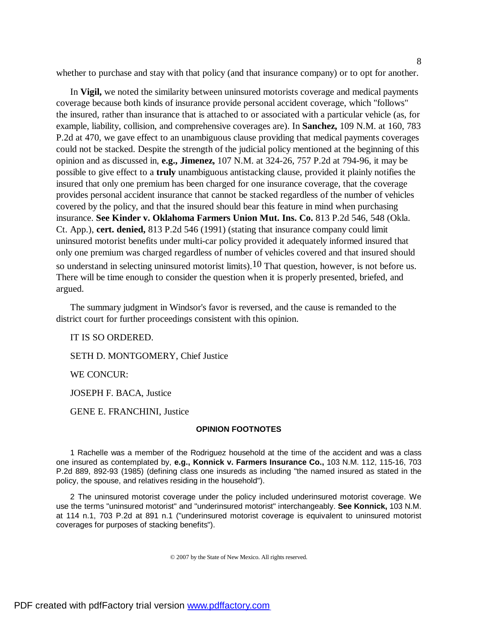whether to purchase and stay with that policy (and that insurance company) or to opt for another.

In **Vigil,** we noted the similarity between uninsured motorists coverage and medical payments coverage because both kinds of insurance provide personal accident coverage, which "follows" the insured, rather than insurance that is attached to or associated with a particular vehicle (as, for example, liability, collision, and comprehensive coverages are). In **Sanchez,** 109 N.M. at 160, 783 P.2d at 470, we gave effect to an unambiguous clause providing that medical payments coverages could not be stacked. Despite the strength of the judicial policy mentioned at the beginning of this opinion and as discussed in, **e.g., Jimenez,** 107 N.M. at 324-26, 757 P.2d at 794-96, it may be possible to give effect to a **truly** unambiguous antistacking clause, provided it plainly notifies the insured that only one premium has been charged for one insurance coverage, that the coverage provides personal accident insurance that cannot be stacked regardless of the number of vehicles covered by the policy, and that the insured should bear this feature in mind when purchasing insurance. **See Kinder v. Oklahoma Farmers Union Mut. Ins. Co.** 813 P.2d 546, 548 (Okla. Ct. App.), **cert. denied,** 813 P.2d 546 (1991) (stating that insurance company could limit uninsured motorist benefits under multi-car policy provided it adequately informed insured that only one premium was charged regardless of number of vehicles covered and that insured should so understand in selecting uninsured motorist limits).10 That question, however, is not before us. There will be time enough to consider the question when it is properly presented, briefed, and argued.

The summary judgment in Windsor's favor is reversed, and the cause is remanded to the district court for further proceedings consistent with this opinion.

IT IS SO ORDERED.

SETH D. MONTGOMERY, Chief Justice

WE CONCUR:

JOSEPH F. BACA, Justice

GENE E. FRANCHINI, Justice

### **OPINION FOOTNOTES**

1 Rachelle was a member of the Rodriguez household at the time of the accident and was a class one insured as contemplated by, **e.g., Konnick v. Farmers Insurance Co.,** 103 N.M. 112, 115-16, 703 P.2d 889, 892-93 (1985) (defining class one insureds as including "the named insured as stated in the policy, the spouse, and relatives residing in the household").

2 The uninsured motorist coverage under the policy included underinsured motorist coverage. We use the terms "uninsured motorist" and "underinsured motorist" interchangeably. **See Konnick,** 103 N.M. at 114 n.1, 703 P.2d at 891 n.1 ("underinsured motorist coverage is equivalent to uninsured motorist coverages for purposes of stacking benefits").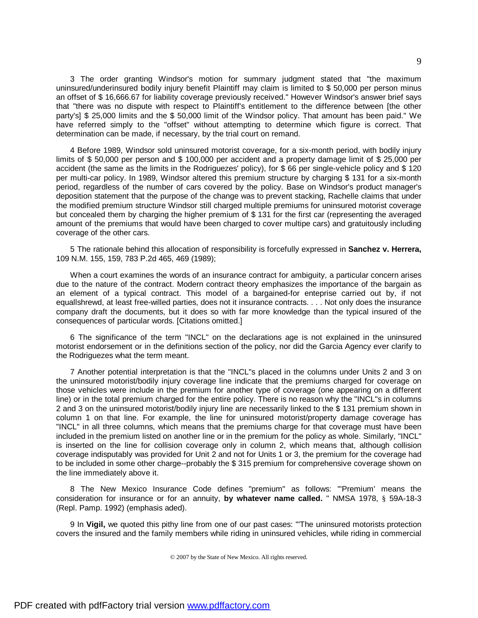3 The order granting Windsor's motion for summary judgment stated that "the maximum uninsured/underinsured bodily injury benefit Plaintiff may claim is limited to \$ 50,000 per person minus an offset of \$ 16,666.67 for liability coverage previously received." However Windsor's answer brief says that "there was no dispute with respect to Plaintiff's entitlement to the difference between [the other party's] \$ 25,000 limits and the \$ 50,000 limit of the Windsor policy. That amount has been paid." We have referred simply to the "offset" without attempting to determine which figure is correct. That determination can be made, if necessary, by the trial court on remand.

4 Before 1989, Windsor sold uninsured motorist coverage, for a six-month period, with bodily injury limits of \$ 50,000 per person and \$ 100,000 per accident and a property damage limit of \$ 25,000 per accident (the same as the limits in the Rodriguezes' policy), for \$ 66 per single-vehicle policy and \$ 120 per multi-car policy. In 1989, Windsor altered this premium structure by charging \$ 131 for a six-month period, regardless of the number of cars covered by the policy. Base on Windsor's product manager's deposition statement that the purpose of the change was to prevent stacking, Rachelle claims that under the modified premium structure Windsor still charged multiple premiums for uninsured motorist coverage but concealed them by charging the higher premium of \$ 131 for the first car (representing the averaged amount of the premiums that would have been charged to cover multipe cars) and gratuitously including coverage of the other cars.

5 The rationale behind this allocation of responsibility is forcefully expressed in **Sanchez v. Herrera,** 109 N.M. 155, 159, 783 P.2d 465, 469 (1989);

When a court examines the words of an insurance contract for ambiguity, a particular concern arises due to the nature of the contract. Modern contract theory emphasizes the importance of the bargain as an element of a typical contract. This model of a bargained-for enteprise carried out by, if not equallshrewd, at least free-willed parties, does not it insurance contracts. . . . Not only does the insurance company draft the documents, but it does so with far more knowledge than the typical insured of the consequences of particular words. [Citations omitted.]

6 The significance of the term "INCL" on the declarations age is not explained in the uninsured motorist endorsement or in the definitions section of the policy, nor did the Garcia Agency ever clarify to the Rodriguezes what the term meant.

7 Another potential interpretation is that the "INCL"s placed in the columns under Units 2 and 3 on the uninsured motorist/bodily injury coverage line indicate that the premiums charged for coverage on those vehicles were include in the premium for another type of coverage (one appearing on a different line) or in the total premium charged for the entire policy. There is no reason why the "INCL"s in columns 2 and 3 on the uninsured motorist/bodily injury line are necessarily linked to the \$ 131 premium shown in column 1 on that line. For example, the line for uninsured motorist/property damage coverage has "INCL" in all three columns, which means that the premiums charge for that coverage must have been included in the premium listed on another line or in the premium for the policy as whole. Similarly, "INCL" is inserted on the line for collision coverage only in column 2, which means that, although collision coverage indisputably was provided for Unit 2 and not for Units 1 or 3, the premium for the coverage had to be included in some other charge--probably the \$ 315 premium for comprehensive coverage shown on the line immediately above it.

8 The New Mexico Insurance Code defines "premium" as follows: "'Premium' means the consideration for insurance or for an annuity, **by whatever name called.** " NMSA 1978, § 59A-18-3 (Repl. Pamp. 1992) (emphasis aded).

9 In **Vigil,** we quoted this pithy line from one of our past cases: "'The uninsured motorists protection covers the insured and the family members while riding in uninsured vehicles, while riding in commercial